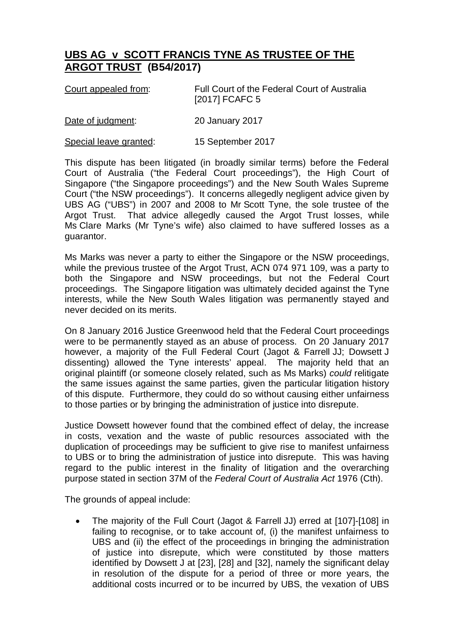## **UBS AG v SCOTT FRANCIS TYNE AS TRUSTEE OF THE ARGOT TRUST (B54/2017)**

| Court appealed from: | Full Court of the Federal Court of Australia<br>[2017] FCAFC 5 |
|----------------------|----------------------------------------------------------------|
| Date of judgment:    | 20 January 2017                                                |

Special leave granted: 15 September 2017

This dispute has been litigated (in broadly similar terms) before the Federal Court of Australia ("the Federal Court proceedings"), the High Court of Singapore ("the Singapore proceedings") and the New South Wales Supreme Court ("the NSW proceedings"). It concerns allegedly negligent advice given by UBS AG ("UBS") in 2007 and 2008 to Mr Scott Tyne, the sole trustee of the Argot Trust. That advice allegedly caused the Argot Trust losses, while Ms Clare Marks (Mr Tyne's wife) also claimed to have suffered losses as a guarantor.

Ms Marks was never a party to either the Singapore or the NSW proceedings, while the previous trustee of the Argot Trust, ACN 074 971 109, was a party to both the Singapore and NSW proceedings, but not the Federal Court proceedings. The Singapore litigation was ultimately decided against the Tyne interests, while the New South Wales litigation was permanently stayed and never decided on its merits.

On 8 January 2016 Justice Greenwood held that the Federal Court proceedings were to be permanently stayed as an abuse of process. On 20 January 2017 however, a majority of the Full Federal Court (Jagot & Farrell JJ; Dowsett J dissenting) allowed the Tyne interests' appeal. The majority held that an original plaintiff (or someone closely related, such as Ms Marks) *could* relitigate the same issues against the same parties, given the particular litigation history of this dispute. Furthermore, they could do so without causing either unfairness to those parties or by bringing the administration of justice into disrepute.

Justice Dowsett however found that the combined effect of delay, the increase in costs, vexation and the waste of public resources associated with the duplication of proceedings may be sufficient to give rise to manifest unfairness to UBS or to bring the administration of justice into disrepute. This was having regard to the public interest in the finality of litigation and the overarching purpose stated in section 37M of the *Federal Court of Australia Act* 1976 (Cth).

The grounds of appeal include:

• The majority of the Full Court (Jagot & Farrell JJ) erred at [107]-[108] in failing to recognise, or to take account of, (i) the manifest unfairness to UBS and (ii) the effect of the proceedings in bringing the administration of justice into disrepute, which were constituted by those matters identified by Dowsett J at [23], [28] and [32], namely the significant delay in resolution of the dispute for a period of three or more years, the additional costs incurred or to be incurred by UBS, the vexation of UBS